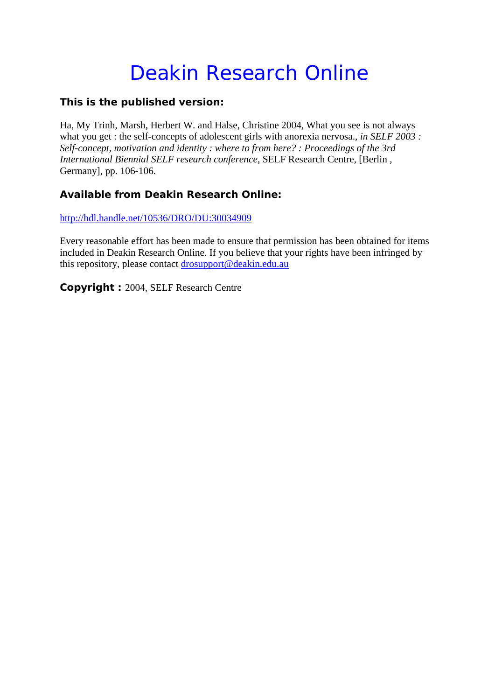# Deakin Research Online

## **This is the published version:**

Ha, My Trinh, Marsh, Herbert W. and Halse, Christine 2004, What you see is not always what you get : the self-concepts of adolescent girls with anorexia nervosa., *in SELF 2003* : *Self-concept, motivation and identity : where to from here? : Proceedings of the 3rd International Biennial SELF research conference*, SELF Research Centre, [Berlin , Germany], pp. 106-106.

# **Available from Deakin Research Online:**

http://hdl.handle.net/10536/DRO/DU:30034909

Every reasonable effort has been made to ensure that permission has been obtained for items included in Deakin Research Online. If you believe that your rights have been infringed by this repository, please contact drosupport@deakin.edu.au

**Copyright :** 2004, SELF Research Centre